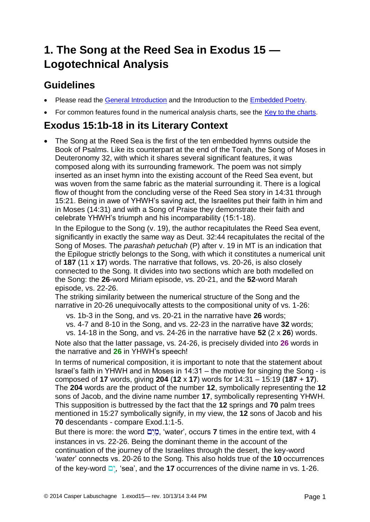# **1. The Song at the Reed Sea in Exodus 15 — Logotechnical Analysis**

## **Guidelines**

- Please read the [General Introduction](http://www.labuschagne.nl/aspects.pdf) and the Introduction to the [Embedded Poetry.](http://www.labuschagne.nl/intro.embed.pdf)
- For common features found in the numerical analysis charts, see the [Key to the charts.](http://www.labuschagne.nl/keytocharts.pdf)

## **Exodus 15:1b-18 in its Literary Context**

 The Song at the Reed Sea is the first of the ten embedded hymns outside the Book of Psalms. Like its counterpart at the end of the Torah, the Song of Moses in Deuteronomy 32, with which it shares several significant features, it was composed along with its surrounding framework. The poem was not simply inserted as an inset hymn into the existing account of the Reed Sea event, but was woven from the same fabric as the material surrounding it. There is a logical flow of thought from the concluding verse of the Reed Sea story in 14:31 through 15:21. Being in awe of YHWH's saving act, the Israelites put their faith in him and in Moses (14:31) and with a Song of Praise they demonstrate their faith and celebrate YHWH's triumph and his incomparability (15:1-18).

In the Epilogue to the Song (v. 19), the author recapitulates the Reed Sea event, significantly in exactly the same way as Deut. 32:44 recapitulates the recital of the Song of Moses. The *parashah petuchah* (P) after v. 19 in MT is an indication that the Epilogue strictly belongs to the Song, with which it constitutes a numerical unit of **187** (11 x **17**) words. The narrative that follows, vs. 20-26, is also closely connected to the Song. It divides into two sections which are both modelled on the Song: the **26**-word Miriam episode, vs. 20-21, and the **52**-word Marah episode, vs. 22-26.

The striking similarity between the numerical structure of the Song and the narrative in 20-26 unequivocally attests to the compositional unity of vs. 1-26:

vs. 1b-3 in the Song, and vs. 20-21 in the narrative have **26** words;

vs. 4-7 and 8-10 in the Song, and vs. 22-23 in the narrative have **32** words;

vs. 14-18 in the Song, and vs. 24-26 in the narrative have **52** (2 x **26**) words.

Note also that the latter passage, vs. 24-26, is precisely divided into **26** words in the narrative and **26** in YHWH's speech!

In terms of numerical composition, it is important to note that the statement about Israel's faith in YHWH and in Moses in 14:31 – the motive for singing the Song - is composed of **17** words, giving **204** (**12** x **17**) words for 14:31 – 15:19 (**187** + **17**). The **204** words are the product of the number **12**, symbolically representing the **12** sons of Jacob, and the divine name number **17**, symbolically representing YHWH. This supposition is buttressed by the fact that the **12** springs and **70** palm trees mentioned in 15:27 symbolically signify, in my view, the **12** sons of Jacob and his **70** descendants - compare Exod.1:1-5.

But there is more: the word "**ב**וֹם, 'water', occurs **7** times in the entire text, with 4 instances in vs. 22-26. Being the dominant theme in the account of the continuation of the journey of the Israelites through the desert, the key-word '*water*' connects vs. 20-26 to the Song. This also holds true of the **10** occurrences of the key-word  $\Box$ <sup>\*</sup>, 'sea', and the **17** occurrences of the divine name in vs. 1-26.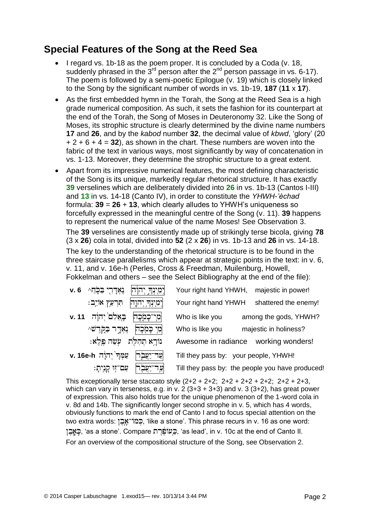## **Special Features of the Song at the Reed Sea**

- $\bullet$  I regard vs. 1b-18 as the poem proper. It is concluded by a Coda (v. 18, suddenly phrased in the  $3^{rd}$  person after the  $2^{nd}$  person passage in vs. 6-17). The poem is followed by a semi-poetic Epilogue (v. 19) which is closely linked to the Song by the significant number of words in vs. 1b-19, **187** (**11** x **17**).
- As the first embedded hymn in the Torah, the Song at the Reed Sea is a high grade numerical composition. As such, it sets the fashion for its counterpart at the end of the Torah, the Song of Moses in Deuteronomy 32. Like the Song of Moses, its strophic structure is clearly determined by the divine name numbers **17** and **26**, and by the *kabod* number **32**, the decimal value of *kbwd*, 'glory' (20 + 2 + 6 + 4 = **32**), as shown in the chart. These numbers are woven into the fabric of the text in various ways, most significantly by way of concatenation in vs. 1-13. Moreover, they determine the strophic structure to a great extent.
- Apart from its impressive numerical features, the most defining characteristic of the Song is its unique, markedly regular rhetorical structure. It has exactly **39** verselines which are deliberately divided into **26** in vs. 1b-13 (Cantos I-III) and **13** in vs. 14-18 (Canto IV), in order to constitute the *YHWH-'èchad* formula: **39** = **26** + **13**, which clearly alludes to YHWH's uniqueness so forcefully expressed in the meaningful centre of the Song (v. 11). **39** happens to represent the numerical value of the name Moses! See Observation 3.

The **39** verselines are consistently made up of strikingly terse bicola, giving **78** (3 x **26**) cola in total, divided into **52** (2 x **26**) in vs. 1b-13 and **26** in vs. 14-18.

The key to the understanding of the rhetorical structure is to be found in the three staircase parallelisms which appear at strategic points in the text: in v. 6, v. 11, and v. 16e-h (Perles, Cross & Freedman, Muilenburg, Howell, Fokkelman and others – see the Select Bibliography at the end of the file):

| ֶנֶאֲדָרָי בַּכְָּחַ^<br>וִימְיִנְךְ יִהוָת<br>v.6 | majestic in power!<br>Your right hand YHWH,      |
|----------------------------------------------------|--------------------------------------------------|
| ּהִרְעַץ אוֹיִב<br>יִמְינְהָ יְהוֶה <i>ַ</i>       | Your right hand YHWH<br>shattered the enemy!     |
| בְאֵלִם`יִהוָׂה v. 11                              | Who is like you<br>among the gods, YHWH?         |
| ֶנֶאֲדֶר בַּקְדֶשׁ^<br> מִי כָּמִׂכָה              | majestic in holiness?<br>Who is like you         |
| נוֹרָא תְהִלָּת עִּשָּׂה כֵּלֶא:                   | Awesome in radiance working wonders!             |
| עַמַּךְ יְהוָה v. 16e-h<br>עד<br>יעב               | Till they pass by: your people, YHWH!            |
| ַעֲם־זֶוּ קָנְיִתָ׃<br>ע ד                         | Till they pass by: the people you have produced! |

This exceptionally terse staccato style  $(2+2+2+2; 2+2+2+2+2; 2+2+2+3, 2+2+2+2+3)$ which can vary in terseness, e.g. in v.  $2(3+3+3+3)$  and v.  $3(3+2)$ , has great power of expression. This also holds true for the unique phenomenon of the 1-word cola in v. 8d and 14b. The significantly longer second strophe in v. 5, which has 4 words, obviously functions to mark the end of Canto I and to focus special attention on the two extra words: בְּמוֹ־אָבֵן, 'like a stone'. This phrase recurs in v. 16 as one word: , 'as a stone'. Compare , 'as lead', in v. 10c at the end of Canto II. For an overview of the compositional structure of the Song, see Observation 2.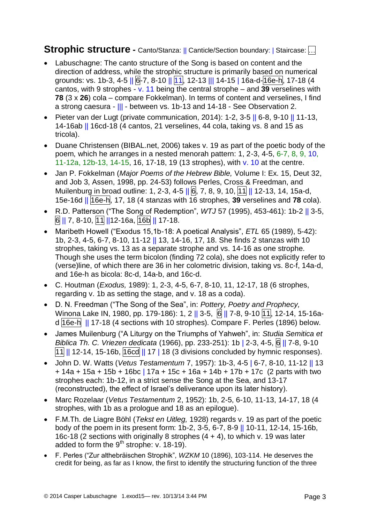### **Strophic structure** - Canto/Stanza: || Canticle/Section boundary: | Staircase: ...

- Labuschagne: The canto structure of the Song is based on content and the direction of address, while the strophic structure is primarily based on numerical grounds: vs. 1b-3, 4-5 || 6-7, 8-10 || 11, 12-13 || 14-15 | 16a-d-16e-h, 17-18 (4 cantos, with 9 strophes - v. 11 being the central strophe – and **39** verselines with **78** (3 x **26**) cola – compare Fokkelman). In terms of content and verselines, I find a strong caesura - ||| - between vs. 1b-13 and 14-18 - See Observation 2.
- Pieter van der Lugt (private communication, 2014): 1-2, 3-5  $\parallel$  6-8, 9-10  $\parallel$  11-13, 14-16ab || 16cd-18 (4 cantos, 21 verselines, 44 cola, taking vs. 8 and 15 as tricola).
- Duane Christensen (BIBAL.net, 2006) takes v. 19 as part of the poetic body of the poem, which he arranges in a nested menorah pattern: 1, 2-3, 4-5, 6-7, 8, 9, 10, 11-12a, 12b-13, 14-15, 16, 17-18, 19 (13 strophes), with v. 10 at the centre.
- Jan P. Fokkelman (*Major Poems of the Hebrew Bible,* Volume I: Ex. 15, Deut 32, and Job 3, Assen, 1998, pp. 24-53) follows Perles, Cross & Freedman, and Muilenburg in broad outline: 1, 2-3, 4-5 || 6, 7, 8, 9, 10, 11 || 12-13, 14, 15a-d, 15e-16d || 16e-h, 17, 18 (4 stanzas with 16 strophes, **39** verselines and **78** cola).
- R.D. Patterson ("The Song of Redemption", *WTJ* 57 (1995), 453-461): 1b-2 || 3-5, 6 || 7, 8-10, 11 ||12-16a, 16b || 17-18.
- Maribeth Howell ("Exodus 15,1b-18: A poetical Analysis", *ETL* 65 (1989), 5-42): 1b, 2-3, 4-5, 6-7, 8-10, 11-12 || 13, 14-16, 17, 18. She finds 2 stanzas with 10 strophes, taking vs. 13 as a separate strophe and vs. 14-16 as one strophe. Though she uses the term bicolon (finding 72 cola), she does not explicitly refer to (verse)line, of which there are 36 in her colometric division, taking vs. 8c-f, 14a-d, and 16e-h as bicola: 8c-d, 14a-b, and 16c-d.
- C. Houtman (*Exodus,* 1989): 1, 2-3, 4-5, 6-7, 8-10, 11, 12-17, 18 (6 strophes, regarding v. 1b as setting the stage, and v. 18 as a coda).
- D. N. Freedman ("The Song of the Sea", in: *Pottery, Poetry and Prophecy,* Winona Lake IN, 1980, pp. 179-186): 1, 2 || 3-5, 6 || 7-8, 9-10 11, 12-14, 15-16ad 16e-h || 17-18 (4 sections with 10 strophes). Compare F. Perles (1896) below.
- James Muilenburg ("A Liturgy on the Triumphs of Yahweh", in: *Studia Semitica et Biblica Th. C. Vriezen dedicata* (1966), pp. 233-251): 1b | 2-3, 4-5, 6 || 7-8, 9-10  $\overline{11}$  || 12-14, 15-16b,  $\overline{16}$ cd || 17 | 18 (3 divisions concluded by hymnic responses).
- John D. W. Watts (*Vetus Testamentum* 7, 1957): 1b-3, 4-5 | 6-7, 8-10, 11-12 || 13 + 14a + 15a + 15b + 16bc | 17a + 15c + 16a + 14b + 17b + 17c (2 parts with two strophes each: 1b-12, in a strict sense the Song at the Sea, and 13-17 (reconstructed), the effect of Israel's deliverance upon its later history).
- Marc Rozelaar (*Vetus Testamentum* 2, 1952): 1b, 2-5, 6-10, 11-13, 14-17, 18 (4 strophes, with 1b as a prologue and 18 as an epilogue).
- F.M.Th. de Liagre Böhl (*Tekst en Uitleg,* 1928) regards v. 19 as part of the poetic body of the poem in its present form: 1b-2, 3-5, 6-7, 8-9 || 10-11, 12-14, 15-16b, 16c-18 (2 sections with originally 8 strophes (4 + 4), to which v. 19 was later added to form the  $9<sup>th</sup>$  strophe: v. 18-19).
- F. Perles ("Zur althebräischen Strophik", *WZKM* 10 (1896), 103-114. He deserves the credit for being, as far as I know, the first to identify the structuring function of the three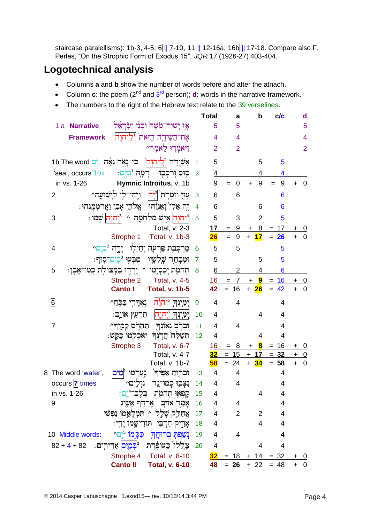staircase paralellisms): 1b-3, 4-5, 6 || 7-10, 11 || 12-16a, 16b || 17-18. Compare also F. Perles, "On the Strophic Form of Exodus 15", *JQR* 17 (1926-27) 403-404.

## **Logotechnical analysis**

- Columns **a** and **b** show the number of words before and after the atnach.
- Column  $\mathbf{c}$ : the poem (2<sup>nd</sup> and 3<sup>rd</sup> person); **d**: words in the narrative framework.
- The numbers to the right of the Hebrew text relate to the 39 verselines.

|                                                                                     | <b>Total</b>   |                | a              | $\mathbf b$                          | c/c       | $\mathbf d$                 |
|-------------------------------------------------------------------------------------|----------------|----------------|----------------|--------------------------------------|-----------|-----------------------------|
| אָז יַשִׁיר־מֹשֶׁה וּבְנֵי יִשְׂרָאֵל<br>1 a Narrative                              |                | 5              | 5              |                                      |           | 5                           |
| אֶת־הַשִּׁירָה הַזּאת` 'לַיִהוַֹה<br><b>Framework</b>                               |                | 4              | 4              |                                      |           | $\overline{4}$              |
| וַיֹּאמְרִוּ לֵאמִרי                                                                |                | $\overline{2}$ | $\overline{2}$ |                                      |           | $\overline{2}$              |
| אָשִׁיָרָה 4ְּלֵיהוָה<br>1b The word רָיִינָאָה נְאָה, הָם                          | $\mathbf 1$    | 5              |                | 5                                    | 5         |                             |
| ּרַמָה <sup>ו</sup> ּבַיֵּם:<br>'sea', occurs 10x<br>סוּס וְרֹכְבְוֹ                | $\overline{2}$ | 4              |                | 4                                    | 4         |                             |
| Hymnic Introitus, v. 1b<br>in vs. 1-26                                              |                | 9              | $\overline{0}$ | 9<br>$\ddot{}$                       | 9<br>$=$  | $\overline{0}$<br>$\ddot{}$ |
| ַוַיִּהִי־לִי לְישׁוּעֲה^<br>עָּיִי וְזִמְרָת <sup>' 1</sup> ְיָה<br>$\overline{2}$ | 3              | 6              | 6              |                                      | 6         |                             |
| זָה אֵלִי וְאַנְוָהוּ אֱלֹהֵי אָבִי וַאֲרֹמְמֶנְהוּ:                                | $\overline{4}$ | 6              |                | 6                                    | 6         |                             |
| ן דּרְנֶה¦ אִישׁ מִלְחָמָה ^ ¶יִהוֵה¦ שִׁמִו:<br>3                                  | 5              | 5              | 3              | 2                                    | 5         |                             |
| Total, v. 2-3                                                                       |                | 17             | 9              | 8<br>$\ddot{}$                       | 17        | $\overline{0}$              |
| Total, v. 1b-3<br>Strophe 1                                                         |                | 26             | 9<br>$=$       | $+ 17$                               | $= 26$    | $\overline{0}$              |
| מַרְכְּבִׂת פַּרְעָׂה וְחֵילִוֹ יָרֵה <sup>2</sup> ּבַיָּם^<br>$\overline{4}$       | 6              | 5              | 5              |                                      | 5         |                             |
| וּמִבְחַר שֲלִשָׁיו<br>טִּבִעְוּ <sup>3</sup> ּבְיַם־סְוּף :                        | 7              | 5              |                | 5                                    | 5         |                             |
| תְּהֹמָת יְכַסְיֶמוּ ^ יָרְדִוּ בִמְצוֹלִת כְּמוֹ־אָבֵן:<br>5                       | 8              | 6              | 2              | 4                                    | 6         |                             |
| Strophe 2<br>Total, v. 4-5                                                          |                | 16             | $= 7$          | + 9                                  | 16<br>$=$ | $\overline{0}$<br>+         |
| <b>Canto I</b><br><b>Total, v. 1b-5</b>                                             |                | 42             | $= 16$         | $+26$                                | 42<br>$=$ | $\overline{0}$<br>$+$       |
| 6<br>יְמִינְךְ <sup>6</sup> יְהוָ <sup>ׂ</sup> ה<br>ֶנֶאָדְרָי בַּכְּחַ^            | 9              | $\overline{4}$ | 4              |                                      | 4         |                             |
| יִמְיְנְךָ <sup>ק</sup> ִתְוֶת<br>ּתִּרְעַץ אוֹיֵב                                  | 10             | 4              |                | $\overline{4}$                       | 4         |                             |
| וּבְרָב גְּאוֹנְךָ הַהֲרָס קָמֶיךָ^<br>$\overline{7}$                               | 11             | 4              | $\overline{4}$ |                                      | 4         |                             |
| ּתְשַׁלַּח הֲרַנְן הָאַכְלֵמוֹ כַּקֵשׁ:                                             | 12             | 4              |                | 4                                    | 4         |                             |
| Strophe 3<br>Total, v. 6-7                                                          |                | 16             | 8<br>$=$       | $\overline{\mathbf{8}}$<br>$\ddot{}$ | $= 16$    | $+ 0$                       |
| Total, v. 4-7                                                                       |                | 32             | $= 15$         | $+ 17$                               | $= 32$    | $\overline{0}$<br>$\ddot{}$ |
| Total, v. 1b-7                                                                      |                | 58             | $= 24$         | $+34$                                | $= 58$    | $\overline{0}$<br>$\ddot{}$ |
| וּבְרְוּחַ אַפֵּיה<br>נֵצֵרמוּ <sup>ו</sup> מַיִם<br>8 The word 'water',            | 13             | 4              | 4              |                                      | 4         |                             |
| occurs 7 times<br>נזלים^<br>נִצִּבְוּ כְמוֹ־נֵד                                     | 14             | 4              | 4              |                                      | 4         |                             |
| קִפְאָוּ תְהֹמָת בְּלֶב <sup>-4</sup> ְם:<br>in vs. 1-26                            | 15             | 4              |                | 4                                    | 4         |                             |
| אָמַר אוֹיֵב אֶרְדִׂף אַשָּׂיג<br>9                                                 | 16             | 4              | 4              |                                      | 4         |                             |
| אַחַלֵק שָׁלֵל ^ תִּמְלָאֵמוֹ נַפִּשִׁי                                             | 17             | 4              | $\overline{2}$ | 2                                    | 4         |                             |
| אָרִיק חַרִבִּי תּוֹרִישֵׁמוֹ יַדִי:                                                | 18             | 4              |                | 4                                    | 4         |                             |
| כסמו לים^<br>10 Middle words:<br>נשפת בריחד                                         | 19             | 4              | 4              |                                      | 4         |                             |
| צֹלַלוּ כַּעוּפֶרֶת<br><mark>ּבְמַיִם</mark> אַדִירִים:<br>$82 + 4 + 82$            | 20             | 4              |                | 4                                    | 4         |                             |
| <b>Total, v. 8-10</b><br>Strophe 4                                                  |                | 32             | $= 18$         | $+ 14$                               | $= 32$    | <u>0</u><br>+               |
| <b>Canto II</b><br><b>Total, v. 6-10</b>                                            |                | 48             | $= 26$         | $+22$                                | $= 48$    | 0<br>$\ddot{}$              |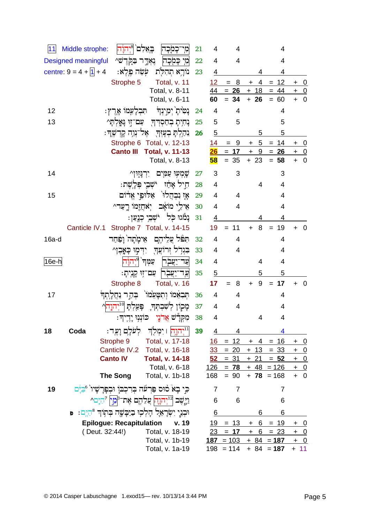| 11      | Middle strophe:                                                           | בְּאֵלִם` 10 <del>ּיִהוָּה</del>                                                              | מִי־כָמַׂכָה                                                  | 21 | 4                       | 4              |                  |                 | 4              |                  |                         |
|---------|---------------------------------------------------------------------------|-----------------------------------------------------------------------------------------------|---------------------------------------------------------------|----|-------------------------|----------------|------------------|-----------------|----------------|------------------|-------------------------|
|         | Designed meaningful                                                       | גָאָרֶר בַּקְרֶשׁ^                                                                            | מִי כַּמִּכָה                                                 | 22 | 4                       | 4              |                  |                 | 4              |                  |                         |
|         | centre: $9 = 4 + 1 + 4$                                                   | ִעְשֶׂה בֵּלֵא:                                                                               | נוֹרָא תִהְלָת                                                | 23 | 4                       |                |                  | 4               | 4              |                  |                         |
|         |                                                                           | Strophe 5                                                                                     | Total, v. 11                                                  |    | $12 -$                  | 8<br>$=$       |                  | $+4$            | $= 12$         | $\ddot{}$        | $\overline{\mathbf{0}}$ |
|         |                                                                           |                                                                                               | Total, v. 8-11                                                |    | 44                      | $= 26$         |                  | $+ 18$          | 44<br>$=$      |                  | $+$ 0                   |
|         |                                                                           |                                                                                               | Total, v. 6-11                                                |    | 60                      | $= 34$         |                  | $+ 26$          | $= 60$         | $\ddot{}$        | $\mathbf 0$             |
| 12      |                                                                           | ּתִּבְלָעֱמוֹ אָרֵץ:                                                                          | <b>ֲ</b> נִטְיֹתָ`יְמְיַיְּנְךָ                               | 24 | 4                       | 4              |                  |                 | 4              |                  |                         |
| 13      |                                                                           | נָּחִיתָ בְחַסְדְךָ _ עַם־זַוּ גָּאֲלְתָ^                                                     |                                                               | 25 | 5                       | 5              |                  |                 | 5              |                  |                         |
|         |                                                                           | ּאָל־נְוֶה קָדְשֶׁךָ׃                                                                         | גִּהַלְתָּ בְעָזָךָ                                           | 26 | 5                       |                |                  | 5               | 5              |                  |                         |
|         |                                                                           |                                                                                               | Strophe 6 Total, v. 12-13                                     |    | 14                      | 9<br>$=$       | $+$              | $5\overline{)}$ | $= 14$         | $\ddot{}$        | $\overline{0}$          |
|         |                                                                           |                                                                                               | Canto III Total, v. 11-13                                     |    | 26                      | $= 17$         | $\ddot{}$        | 9               | $=$ 26         | $\ddot{}$        | $\overline{\mathbf{0}}$ |
|         |                                                                           |                                                                                               | Total, v. 8-13                                                |    | <b>58</b>               | $= 35$         |                  | $+23$           | $= 58$         | $\ddot{}$        | $\overline{\mathbf{0}}$ |
| 14      |                                                                           | יִרְנַזְוּוֹ                                                                                  | שֶׁמְעִרְ עַמְיָם                                             | 27 | 3                       | 3              |                  |                 | 3              |                  |                         |
|         |                                                                           | ּיֹשָׁבֵי פִּלָשֵׁת:                                                                          | חֵיל אֲחַז                                                    | 28 | 4                       |                |                  | 4               | $\overline{4}$ |                  |                         |
| 15      |                                                                           |                                                                                               | אַז נִבְהֲלוֹ אַלוּפֵי אֱדוֹם                                 | 29 | $\overline{\mathbf{4}}$ | 4              |                  |                 | 4              |                  |                         |
|         |                                                                           |                                                                                               | אֵילֵי מוֹאָבׁ יִאתֲזֶמוֹ רֶעֲד^                              | 30 | 4                       | 4              |                  |                 | 4              |                  |                         |
|         |                                                                           |                                                                                               | ַנַמֹּגוּ כִ <i>ּ</i> ל יֹשְׁבֵי כְנְעַן:                     | 31 | 4                       |                |                  | 4               | 4              |                  |                         |
|         | Canticle IV.1 Strophe 7 Total, v. 14-15                                   |                                                                                               |                                                               |    | 19                      | $= 11$         | $+$              | 8               | 19<br>$=$      | $+$              | $\overline{0}$          |
| $16a-d$ |                                                                           | بنهم ةتهاشه للمنفس لقناء                                                                      |                                                               | 32 | 4                       | 4              |                  |                 | 4              |                  |                         |
|         |                                                                           |                                                                                               | בִּנְרָל זְרוֹעֲךָ יִדְמָוּ כְּאֱבֶן^                         | 33 | 4                       | 4              |                  |                 | 4              |                  |                         |
| $16e-h$ |                                                                           | ַעַמִּךְ <sup>וּ</sup> יִדוַיַּה                                                              | עַר־יַעֲבָר                                                   | 34 | 4                       |                |                  | 4               | 4              |                  |                         |
|         |                                                                           |                                                                                               | עַר־יַעֲבָר  עַם־זִוּ קָנִיתָ:                                | 35 | 5                       |                |                  | 5               | 5              |                  |                         |
|         |                                                                           | Strophe 8                                                                                     | Total, v. 16                                                  |    | 17                      | 8              | $+$              | 9               | 17<br>$=$      |                  | $\overline{0}$          |
| 17      |                                                                           | תִּבְאָמוֹ וְתִטָּעֲמוֹ ` בִּהַר נַחֲלָתְדֹּ                                                  |                                                               | 36 | 4                       | 4              |                  |                 | 4              |                  |                         |
|         |                                                                           | ּפַּעֲלִתָּ <sup>10</sup> יִת <u>ו</u> ַה/                                                    | מָכְוֹן לְשָׁבְתְּךָ                                          | 37 | 4                       | 4              |                  |                 | 4              |                  |                         |
|         |                                                                           |                                                                                               | מִקְדָ <sup>יָ</sup> שׁ <b>אֲרֹנֶי</b>   כּוֹנְנִוּ יָדֶיךְ : | 38 | 4                       |                |                  | 4               | 4              |                  |                         |
| 18      | Coda                                                                      | לִעֹּלַם וַעֲד:                                                                               | ו יִמְלְךְ $\Gamma$ וּ יִ                                     | 39 |                         | 4              |                  |                 | 4              |                  |                         |
|         |                                                                           | Strophe 9                                                                                     | Total, v. 17-18                                               |    | 16                      | $= 12$         | $\boldsymbol{+}$ | 4               | $= 16$         | +                | <u>_0</u>               |
|         |                                                                           | <b>Canticle IV.2</b>                                                                          | Total, v. 16-18                                               |    | 33                      | $= 20$         |                  | + 13            | $= 33$         | $\color{red}{+}$ | $\overline{0}$          |
|         |                                                                           | <b>Canto IV</b>                                                                               | <b>Total, v. 14-18</b>                                        |    | 52                      | $= 31$         |                  | $+21$           | $= 52$         | $\pm$            | $\overline{0}$          |
|         |                                                                           |                                                                                               | Total, v. 6-18                                                |    | 126                     | $= 78$         |                  |                 | $+ 48 = 126$   | $\ddot{}$        | $\overline{0}$          |
|         |                                                                           | <b>The Song</b>                                                                               | Total, v. 1b-18                                               |    | 168                     | $= 90$         |                  |                 | $+ 78 = 168$   | $+$              | $\overline{\mathbf{0}}$ |
| 19      |                                                                           | כִּי בָא <sup>ֹ</sup> סוּס פַּרְעֹׁה בִּרִכְבּוָ וּבְפָּרָשָׁיו <sup>י 6</sup> ַבְיֶּם        |                                                               |    | $\overline{7}$          | $\overline{7}$ |                  |                 | 7              |                  |                         |
|         |                                                                           | <u>ויְיָשֶׁ</u> ב   <sup>12</sup> יְהוָה  עֲלֵהֶם אֶת־ <sup>3</sup> מֵין <sup>7</sup> הַיַּם^ |                                                               |    | 6                       | 6              |                  |                 | 6              |                  |                         |
|         | וּבְנֵי יִשְׂרָאֵלִ הָלְכִוּ בַיַּבָשֶׁה בְּתְוֹךְ <sup>8</sup> הַיֶּם: פ |                                                                                               |                                                               |    | 6                       |                |                  | 6               | 6              |                  |                         |
|         |                                                                           | <b>Epilogue: Recapitulation</b>                                                               | v. 19                                                         |    | 19                      | $= 13$         | $\ddot{}$        | 6               | $= 19$         | +                | <u>_0</u>               |
|         | (Deut. 32:44!)                                                            |                                                                                               | Total, v. 18-19                                               |    | 23                      | $= 17$         |                  | $+ 6$           | $= 23$         |                  | $+ 0$                   |
|         |                                                                           |                                                                                               | Total, v. 1b-19                                               |    |                         | $187 = 103$    |                  |                 | $+ 84 = 187$   |                  | $+$ 0                   |
|         |                                                                           |                                                                                               | Total, v. 1a-19                                               |    |                         | $198 = 114$    |                  |                 | $+ 84 = 187$   | $+ 11$           |                         |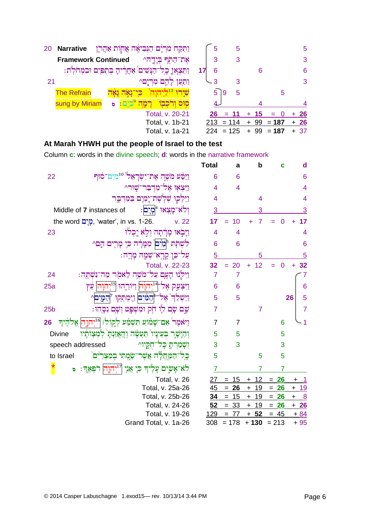| 20 | ַנְתִּקַחֹ מִרְיָם הַנְּבִיאָה אֲחֻוֹת אַהֲרֶן<br><b>Narrative</b> | 5   |     | 5       |     |       |         |   | 5      |
|----|--------------------------------------------------------------------|-----|-----|---------|-----|-------|---------|---|--------|
|    | <b>Framework Continued</b><br>אֶת־הַחָּף בְּיָדֱהִ^                | 3   |     | 3       |     |       |         |   | 3      |
|    | ּוֹתֵצָאַן כְל־הַנָּשִׁים אַחֲרֶיהָ בְּתָפִּים וּבִ                | 6   |     |         |     | 6     |         |   | 6      |
| 21 | יים^<br>ותעו                                                       | 3   |     | 3       |     |       |         |   | 3      |
|    | שירו <sup>. 13</sup> ליהוה<br><b>The Refrain</b><br>כי־            | 5   | و ا | 5       |     |       |         | 5 |        |
|    | sung by Miriam<br>ъ                                                |     |     |         |     |       |         |   |        |
|    | Total, v. 20-21                                                    | 26  |     |         |     | 15    | ÷       |   | $+ 26$ |
|    | Total, v. 1b-21                                                    | 213 |     | $= 114$ |     | $+99$ | $= 187$ |   | $+ 26$ |
|    | Total, v. 1a-21                                                    | 224 |     | $= 125$ | $+$ | -99   | = 187   |   | $+37$  |

### **At Marah YHWH put the people of Israel to the test**

Column **c**: words in the divine speech; **d**: words in the narrative framework

 **Total a b c d** ם 11 ה'ס ה' 11 ה' 10 ה'ס ה' 122 מ' ה' 11 ה' 122 ה' 123 ה' 123 ה' 123 ה' 123 ה' 123 ה' 123 ה' 123 ה' 123 ה' 123<br>ה' ה' 12 ה' 12 ה' 12 ה' 12 ה' 12 ה' 12 ה' 12 ה' 12 ה' 12 ה' 12 ה' 12 ה' 12 ה' 12 ה' 12 ה' 12 ה' 12 ה' 12 ה' 12  $\sim$  4  $\sim$  4  $\sim$  4  $\sim$  4  $\sim$  4  $\sim$ 4  $q^2$ לֹשֶת־יָמְיָם בַּמִּדְבֶר 4  $q^2$  Middle of **7** instances of 3 3 3 the word , 'water', in vs. 1-26. v. 22 **17** = 10 + 7 = 0 + **17** 23 4 4 4 ^ 6 6 6 5  $5$  5 5  $\frac{1}{2}$ על־כֵּן קַרֵא־שָׁמַהּ מַרֵח  $5$ Total, v. 22-23  $32 = 20 + 12 = 0 + 32$ 7 7 7 7 7 7 די די דעם על־משה לאמר מה־נשתה: 24 7 7 . ס 6 - 11 <u>ויצעק אָל־14 ניוֹר</u>ֶהוּ 15 מידה ב-25a kr, ניי הובלה ה-25a kr, נייל ב-15 $\vert$  6 ^הַמֱיִם 5 5 **26** 5 7 | 7 קלו דוק וּמְשָׁפֵּט וְשֵׁם נְסֵהוּ: 7 7 7 7 7 7 7 7 7 1 <sup>01</sup> 7 7 7 7 7 7 7 מ'אָכָור' אָם־שָׁמֹוֹעַ הִשְׁמַ֫עַ לְקַוֹּל<sup>ן 16</sup>יִדְתֶרַח אֱל<sup>וֹ</sup>דֶיךָ 26 1 5 5 5 5 5 הַיַּשֵׁר בִּעֵינֵיו<sup>י</sup> תַּעֲשֶׂה וְ<u>הָאֲזִנְתָּ</u> לְמְצְוֹתֵיו 5 5 5 speech addressed  $\frac{1}{2}$  יִשָּׁמַרְתֵּ כַל־חְקֵיוּ  $\frac{3}{3}$  3  $\frac{3}{3}$ 5 5 5 5 5 5 5 5 הַמַּחַלִּה אֲשֵׁר־שָׂמִתִּי בִמְצַרִיִם to Israel \* <sup>7</sup> <sup>7</sup> <sup>7</sup> Total, v. 26  $27 = 15 + 12 = 26 + 1$  Total, v. 25a-26 45 = **26** + 19 = **26** + 19 Total, v. 25b-26 **34** = 15 + 19 = **26** + 8 Total, v. 24-26 **52** = 33 + 19 = **26** + **26** Total, v. 19-26  $129 = 77 + 52 = 45 + 84$ Grand Total, v. 1a-26  $308 = 178 + 130 = 213 + 95$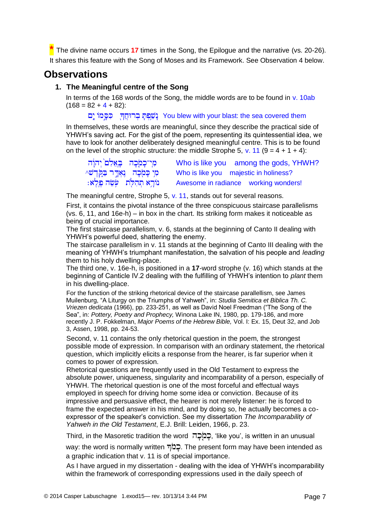**\*** The divine name occurs **<sup>17</sup>** times in the Song, the Epilogue and the narrative (vs. 20-26). It shares this feature with the Song of Moses and its Framework. See Observation 4 below.

### **Observations**

### **1. The Meaningful centre of the Song**

In terms of the 168 words of the Song, the middle words are to be found in  $v$ . 10ab  $(168 = 82 + 4 + 82)$ :

You blew with your blast: the sea covered them

In themselves, these words are meaningful, since they describe the practical side of YHWH's saving act. For the gist of the poem, representing its quintessential idea, we have to look for another deliberately designed meaningful centre. This is to be found on the level of the strophic structure: the middle Strophe 5, v. 11 ( $9 = 4 + 1 + 4$ ):

| ַמְי־כָמָׂכָה בָאֵלִם יְהוָה        | Who is like you among the gods, YHWH? |
|-------------------------------------|---------------------------------------|
| ַמִּי כָּמִׂכָה נֶאָדֶר בַּקִּדֶשׁ^ | Who is like you majestic in holiness? |
| נוֹרא תהלֹת _ עֹשׂה פֹלֹא:          | Awesome in radiance working wonders!  |

The meaningful centre, Strophe 5, v. 11, stands out for several reasons.

First, it contains the pivotal instance of the three conspicuous staircase parallelisms (vs. 6, 11, and 16e-h) – in box in the chart. Its striking form makes it noticeable as being of crucial importance.

The first staircase parallelism, v. 6, stands at the beginning of Canto II dealing with YHWH's powerful deed, shattering the enemy.

The staircase parallelism in v. 11 stands at the beginning of Canto III dealing with the meaning of YHWH's triumphant manifestation, the salvation of his people and *leading* them to his holy dwelling-place.

The third one, v. 16e-h, is positioned in a **17**-word strophe (v. 16) which stands at the beginning of Canticle IV.2 dealing with the fulfilling of YHWH's intention to *plant* them in his dwelling-place.

For the function of the striking rhetorical device of the staircase parallellism, see James Muilenburg, "A Liturgy on the Triumphs of Yahweh", in: *Studia Semitica et Biblica Th. C. Vriezen dedicata* (1966), pp. 233-251, as well as David Noel Freedman ("The Song of the Sea", in: *Pottery, Poetry and Prophecy,* Winona Lake IN, 1980, pp. 179-186, and more recently J. P. Fokkelman, *Major Poems of the Hebrew Bible,* Vol. I: Ex. 15, Deut 32, and Job 3, Assen, 1998, pp. 24-53.

Second, v. 11 contains the only rhetorical question in the poem, the strongest possible mode of expression. In comparison with an ordinary statement, the rhetorical question, which implicitly elicits a response from the hearer, is far superior when it comes to power of expression.

Rhetorical questions are frequently used in the Old Testament to express the absolute power, uniqueness, singularity and incomparability of a person, especially of YHWH. The rhetorical question is one of the most forceful and effectual ways employed in speech for driving home some idea or conviction. Because of its impressive and persuasive effect, the hearer is not merely listener: he is forced to frame the expected answer in his mind, and by doing so, he actually becomes a coexpressor of the speaker's conviction. See my dissertation *The Incomparability of Yahweh in the Old Testament*, E.J. Brill: Leiden, 1966, p. 23.

Third, in the Masoretic tradition the word כֲמֹכָה, 'like you', is written in an unusual

way: the word is normally written . כָמֹךְ The present form may have been intended as a graphic indication that v. 11 is of special importance.

As I have argued in my dissertation - dealing with the idea of YHWH's incomparability within the framework of corresponding expressions used in the daily speech of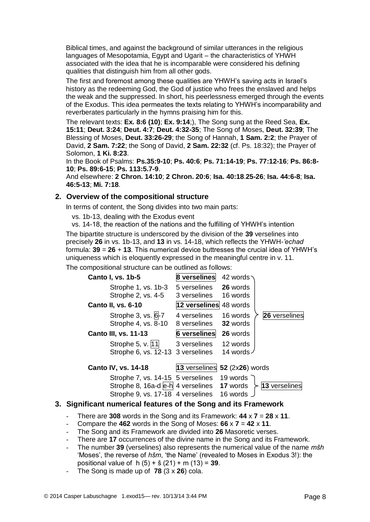Biblical times, and against the background of similar utterances in the religious languages of Mesopotamia, Egypt and Ugarit – the characteristics of YHWH associated with the idea that he is incomparable were considered his defining qualities that distinguish him from all other gods.

The first and foremost among these qualities are YHWH's saving acts in Israel's history as the redeeming God, the God of justice who frees the enslaved and helps the weak and the suppressed. In short, his peerlessness emerged through the events of the Exodus. This idea permeates the texts relating to YHWH's incomparability and reverberates particularly in the hymns praising him for this.

The relevant texts: **Ex. 8:6 (10)**; **Ex. 9:14**;), The Song sung at the Reed Sea, **Ex. 15:11**; **Deut. 3:24**; **Deut. 4:7**; **Deut. 4:32-35**; The Song of Moses, **Deut. 32:39**; The Blessing of Moses, **Deut. 33:26-29**; the Song of Hannah, **1 Sam. 2:2**; the Prayer of David, **2 Sam. 7:22**; the Song of David, **2 Sam. 22:32** (cf. Ps. 18:32); the Prayer of Solomon, **1 Ki. 8:23**.

In the Book of Psalms: **Ps.35:9-10**; **Ps. 40:6**; **Ps. 71:14-19**; **Ps. 77:12-16**; **Ps. 86:8- 10**; **Ps. 89:6-15**; **Ps. 113:5.7-9**.

And elsewhere: **2 Chron. 14:10**; **2 Chron. 20:6**; **Isa. 40:18**.**25-26**; **Isa. 44:6-8**; **Isa. 46:5-13**; **Mi. 7:18**.

#### **2. Overview of the compositional structure**

In terms of content, the Song divides into two main parts:

vs. 1b-13, dealing with the Exodus event

 vs. 14-18, the reaction of the nations and the fulfilling of YHWH's intention The bipartite structure is underscored by the division of the **39** verselines into precisely **26** in vs. 1b-13, and **13** in vs. 14-18, which reflects the YHWH-*'echad* formula: **39** = **26** + **13**. This numerical device buttresses the crucial idea of YHWH's uniqueness which is eloquently expressed in the meaningful centre in v. 11.

The compositional structure can be outlined as follows:



### **3. Significant numerical features of the Song and its Framework**

- There are 308 words in the Song and its Framework:  $44 \times 7 = 28 \times 11$ .
- Compare the  $462$  words in the Song of Moses:  $66 \times 7 = 42 \times 11$ .
- The Song and its Framework are divided into **26** Masoretic verses.
- There are **17** occurrences of the divine name in the Song and its Framework.
- The number **39** (verselines) also represents the numerical value of the name *mšh* 'Moses', the reverse of *hšm*, 'the Name' (revealed to Moses in Exodus 3!): the positional value of h (5) + š (21) + m (13) = **39**.
- The Song is made up of **78** (3 x **26**) cola.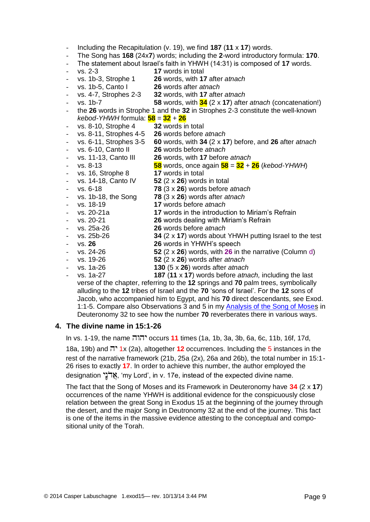- Including the Recapitulation (v. 19), we find **187** (**11** x **17**) words.
- The Song has **168** (24x**7**) words; including the **2**-word introductory formula: **170**.
- The statement about Israel's faith in YHWH (14:31) is composed of **17** words.
	- vs. 2-3 **17** words in total
- vs. 1b-3, Strophe 1 **26** words, with **17** after *atnach*
- 26 words after *atnach*
- vs. 4-7, Strophes 2-3 **32** words, with **17** after *atnach*
- vs. 1b-7 **58** words, with **34** (2 x **17**) after *atnach* (concatenation!)

- the **26** words in Strophe 1 and the **32** in Strophes 2-3 constitute the well-known

- *kebod-YHWH* formula: **58** = **32** + **26**
- vs. 8-10, Strophe 4 **32** words in total
- vs. 8-11, Strophes 4-5 **26** words before *atnach*
- vs. 6-11, Strophes 3-5 **60** words, with **34** (2 x **17**) before, and **26** after *atnach*
- vs. 6-10, Canto II **26** words before *atnach*
- vs. 11-13, Canto III **26** words, with **17** before *atnach*
- vs. 8-13 **58** words, once again **58** = **32** + **26** (*kebod-YHWH*)
- vs. 16, Strophe 8 **17** words in total
- vs. 14-18, Canto IV **52** (2 x **26**) words in total
- vs. 6-18 **78** (3 x **26**) words before *atnach*
	- vs. 1b-18, the Song **78** (3 x **26**) words after *atnach*
- vs. 18-19 **17** words before *atnach*
	- vs. 20-21a **17** words in the introduction to Miriam's Refrain
- vs. 20-21 **26** words dealing with Miriam's Refrain
- vs. 25a-26 **26** words before *atnach*
- vs. 25b-26 **34** (2 x **17**) words about YHWH putting Israel to the test
- vs. **26 26** words in YHWH's speech
- vs. 24-26 **52** (2 x **26**) words, with **26** in the narrative (Column d)
- vs. 19-26 **52** (2 x **26**) words after *atnach*
- vs. 1a-26 **130** (5 x **26**) words after *atnach*

- vs. 1a-27 **187** (**11** x **17**) words before *atnach,* including the last verse of the chapter, referring to the **12** springs and **70** palm trees, symbolically alluding to the **12** tribes of Israel and the **70** 'sons of Israel'. For the **12** sons of Jacob, who accompanied him to Egypt, and his **70** direct descendants, see Exod. 1:1-5. Compare also Observations 3 and 5 in my [Analysis of the Song of Moses](http://www.labuschagne.2b.deut32/) in Deuteronomy 32 to see how the number **70** reverberates there in various ways.

#### **4. The divine name in 15:1-26**

In vs. 1-19, the name occurs **11** times (1a, 1b, 3a, 3b, 6a, 6c, 11b, 16f, 17d,

18a, 19b) and 1x (2a), altogether **12** occurrences. Including the 5 instances in the rest of the narrative framework (21b, 25a (2x), 26a and 26b), the total number in 15:1- 26 rises to exactly **17**. In order to achieve this number, the author employed the designation אֲדֹנֵי my Lord', in v. 17e, instead of the expected divine name.

The fact that the Song of Moses and its Framework in Deuteronomy have **34** (2 x **17**) occurrences of the name YHWH is additional evidence for the conspicuously close relation between the great Song in Exodus 15 at the beginning of the journey through the desert, and the major Song in Deutronomy 32 at the end of the journey. This fact is one of the items in the massive evidence attesting to the conceptual and compositional unity of the Torah.